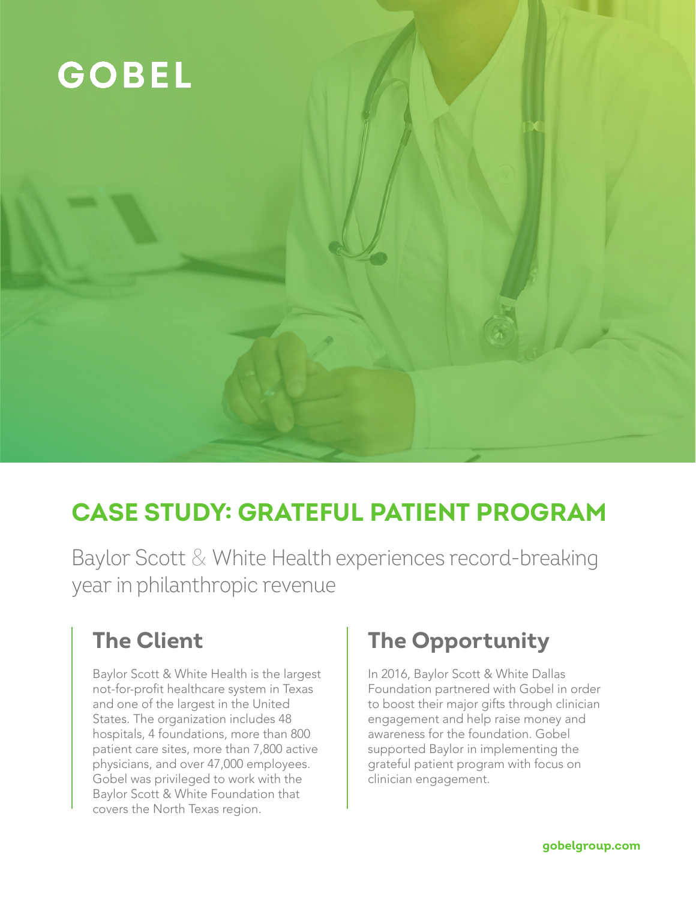

## **CASE STUDY: GRATEFUL PATIENT PROGRAM**

Baylor Scott & White Health experiences record-breaking year in philanthropic revenue

### **The Client**

Baylor Scott & White Health is the largest not-for-profit healthcare system in Texas and one of the largest in the United States. The organization includes 48 hospitals, 4 foundations, more than 800 patient care sites, more than 7,800 active physicians, and over 47,000 employees. Gobel was privileged to work with the Baylor Scott & White Foundation that covers the North Texas region.

### **The Opportunity**

In 2016, Baylor Scott & White Dallas Foundation partnered with Gobel in order to boost their major gifts through clinician engagement and help raise money and awareness for the foundation. Gobel supported Baylor in implementing the grateful patient program with focus on clinician engagement.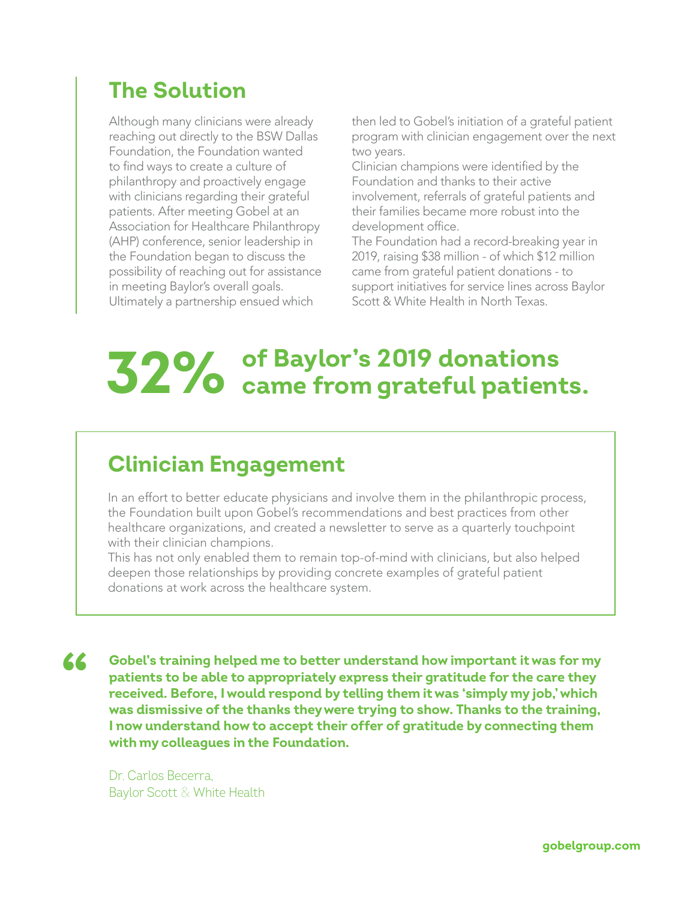### **The Solution**

Although many clinicians were already reaching out directly to the BSW Dallas Foundation, the Foundation wanted to find ways to create a culture of philanthropy and proactively engage with clinicians regarding their grateful patients. After meeting Gobel at an Association for Healthcare Philanthropy (AHP) conference, senior leadership in the Foundation began to discuss the possibility of reaching out for assistance in meeting Baylor's overall goals. Ultimately a partnership ensued which

then led to Gobel's initiation of a grateful patient program with clinician engagement over the next two years.

Clinician champions were identified by the Foundation and thanks to their active involvement, referrals of grateful patients and their families became more robust into the development office.

The Foundation had a record-breaking year in 2019, raising \$38 million - of which \$12 million came from grateful patient donations - to support initiatives for service lines across Baylor Scott & White Health in North Texas.

# **of Baylor's 2019 donations 32% came from grateful patients.**

#### **Clinician Engagement**

In an effort to better educate physicians and involve them in the philanthropic process, the Foundation built upon Gobel's recommendations and best practices from other healthcare organizations, and created a newsletter to serve as a quarterly touchpoint with their clinician champions.

This has not only enabled them to remain top-of-mind with clinicians, but also helped deepen those relationships by providing concrete examples of grateful patient donations at work across the healthcare system.

**Gobel's training helped me to better understand how important it was for my patients to be able to appropriately express their gratitude for the care they received. Before, I would respond by telling them it was 'simply my job,' which was dismissive of the thanks they were trying to show. Thanks to the training, I now understand how to accept their offer of gratitude by connecting them with my colleagues in the Foundation. "**

Dr. Carlos Becerra, Baylor Scott & White Health